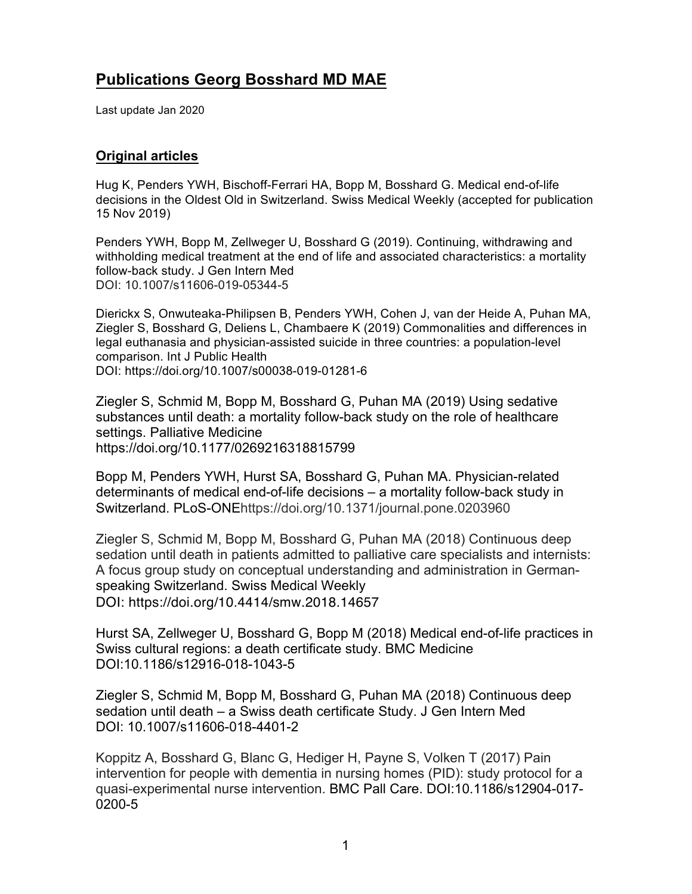# **Publications Georg Bosshard MD MAE**

Last update Jan 2020

## **Original articles**

Hug K, Penders YWH, Bischoff-Ferrari HA, Bopp M, Bosshard G. Medical end-of-life decisions in the Oldest Old in Switzerland. Swiss Medical Weekly (accepted for publication 15 Nov 2019)

Penders YWH, Bopp M, Zellweger U, Bosshard G (2019). Continuing, withdrawing and withholding medical treatment at the end of life and associated characteristics: a mortality follow-back study. J Gen Intern Med DOI: 10.1007/s11606-019-05344-5

Dierickx S, Onwuteaka-Philipsen B, Penders YWH, Cohen J, van der Heide A, Puhan MA, Ziegler S, Bosshard G, Deliens L, Chambaere K (2019) Commonalities and differences in legal euthanasia and physician-assisted suicide in three countries: a population-level comparison. Int J Public Health DOI: https://doi.org/10.1007/s00038-019-01281-6

Ziegler S, Schmid M, Bopp M, Bosshard G, Puhan MA (2019) Using sedative substances until death: a mortality follow-back study on the role of healthcare settings. Palliative Medicine https://doi.org/10.1177/0269216318815799

Bopp M, Penders YWH, Hurst SA, Bosshard G, Puhan MA. Physician-related determinants of medical end-of-life decisions – a mortality follow-back study in Switzerland. PLoS-ONEhttps://doi.org/10.1371/journal.pone.0203960

Ziegler S, Schmid M, Bopp M, Bosshard G, Puhan MA (2018) Continuous deep sedation until death in patients admitted to palliative care specialists and internists: A focus group study on conceptual understanding and administration in Germanspeaking Switzerland. Swiss Medical Weekly DOI: https://doi.org/10.4414/smw.2018.14657

Hurst SA, Zellweger U, Bosshard G, Bopp M (2018) Medical end-of-life practices in Swiss cultural regions: a death certificate study. BMC Medicine DOI:10.1186/s12916-018-1043-5

Ziegler S, Schmid M, Bopp M, Bosshard G, Puhan MA (2018) Continuous deep sedation until death – a Swiss death certificate Study. J Gen Intern Med DOI: 10.1007/s11606-018-4401-2

Koppitz A, Bosshard G, Blanc G, Hediger H, Payne S, Volken T (2017) Pain intervention for people with dementia in nursing homes (PID): study protocol for a quasi-experimental nurse intervention. BMC Pall Care. DOI:10.1186/s12904-017- 0200-5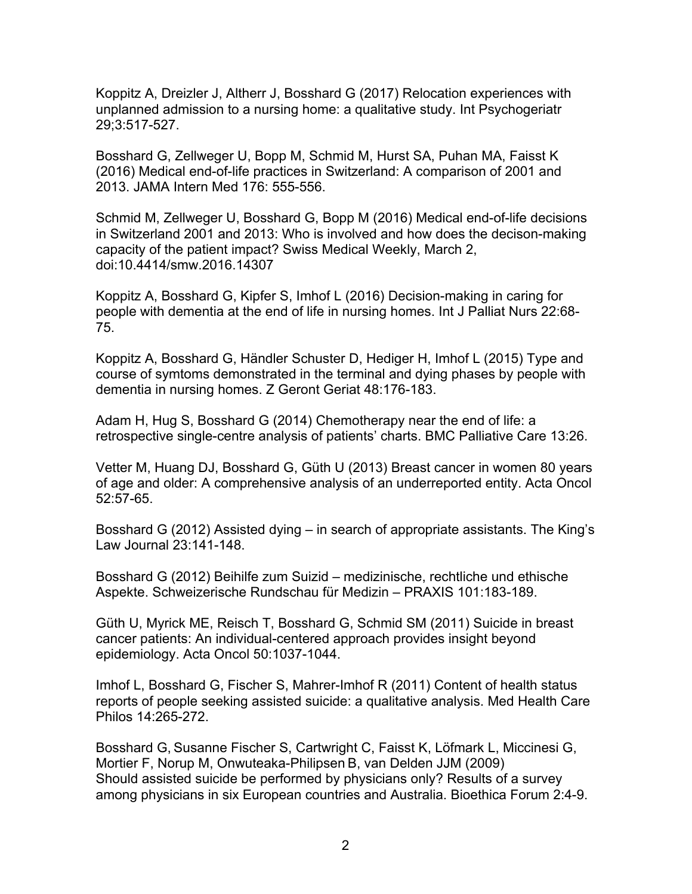Koppitz A, Dreizler J, Altherr J, Bosshard G (2017) Relocation experiences with unplanned admission to a nursing home: a qualitative study. Int Psychogeriatr 29;3:517-527.

Bosshard G, Zellweger U, Bopp M, Schmid M, Hurst SA, Puhan MA, Faisst K (2016) Medical end-of-life practices in Switzerland: A comparison of 2001 and 2013. JAMA Intern Med 176: 555-556.

Schmid M, Zellweger U, Bosshard G, Bopp M (2016) Medical end-of-life decisions in Switzerland 2001 and 2013: Who is involved and how does the decison-making capacity of the patient impact? Swiss Medical Weekly, March 2, doi:10.4414/smw.2016.14307

Koppitz A, Bosshard G, Kipfer S, Imhof L (2016) Decision-making in caring for people with dementia at the end of life in nursing homes. Int J Palliat Nurs 22:68- 75.

Koppitz A, Bosshard G, Händler Schuster D, Hediger H, Imhof L (2015) Type and course of symtoms demonstrated in the terminal and dying phases by people with dementia in nursing homes. Z Geront Geriat 48:176-183.

Adam H, Hug S, Bosshard G (2014) Chemotherapy near the end of life: a retrospective single-centre analysis of patients' charts. BMC Palliative Care 13:26.

Vetter M, Huang DJ, Bosshard G, Güth U (2013) Breast cancer in women 80 years of age and older: A comprehensive analysis of an underreported entity. Acta Oncol 52:57-65.

Bosshard G (2012) Assisted dying – in search of appropriate assistants. The King's Law Journal 23:141-148.

Bosshard G (2012) Beihilfe zum Suizid – medizinische, rechtliche und ethische Aspekte. Schweizerische Rundschau für Medizin – PRAXIS 101:183-189.

Güth U, Myrick ME, Reisch T, Bosshard G, Schmid SM (2011) Suicide in breast cancer patients: An individual-centered approach provides insight beyond epidemiology. Acta Oncol 50:1037-1044.

Imhof L, Bosshard G, Fischer S, Mahrer-Imhof R (2011) Content of health status reports of people seeking assisted suicide: a qualitative analysis. Med Health Care Philos 14:265-272.

Bosshard G, Susanne Fischer S, Cartwright C, Faisst K, Löfmark L, Miccinesi G, Mortier F, Norup M, Onwuteaka-Philipsen B, van Delden JJM (2009) Should assisted suicide be performed by physicians only? Results of a survey among physicians in six European countries and Australia. Bioethica Forum 2:4-9.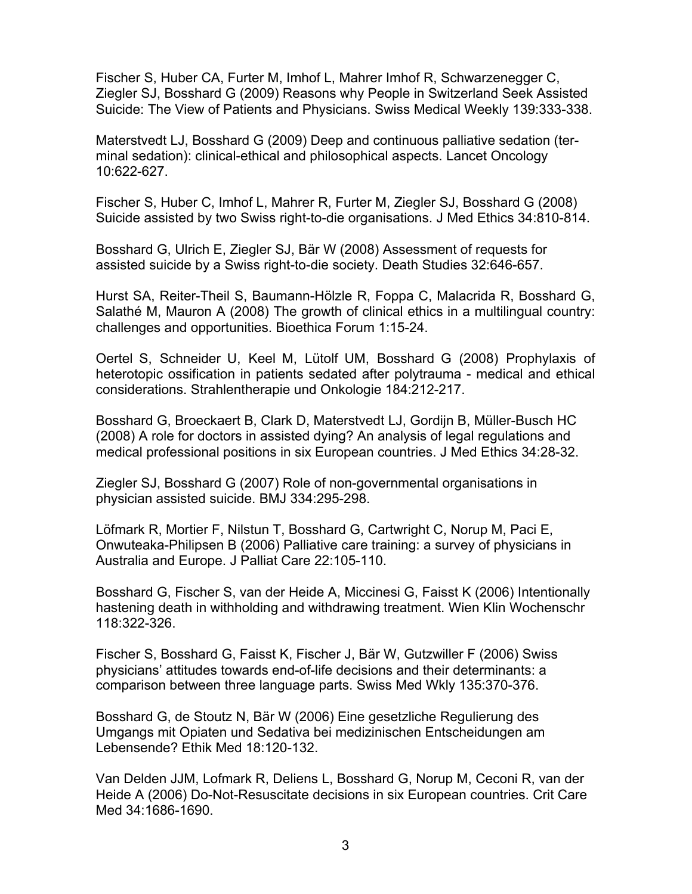Fischer S, Huber CA, Furter M, Imhof L, Mahrer Imhof R, Schwarzenegger C, Ziegler SJ, Bosshard G (2009) Reasons why People in Switzerland Seek Assisted Suicide: The View of Patients and Physicians. Swiss Medical Weekly 139:333-338.

Materstvedt LJ, Bosshard G (2009) Deep and continuous palliative sedation (terminal sedation): clinical-ethical and philosophical aspects. Lancet Oncology 10:622-627.

Fischer S, Huber C, Imhof L, Mahrer R, Furter M, Ziegler SJ, Bosshard G (2008) Suicide assisted by two Swiss right-to-die organisations. J Med Ethics 34:810-814.

Bosshard G, Ulrich E, Ziegler SJ, Bär W (2008) Assessment of requests for assisted suicide by a Swiss right-to-die society. Death Studies 32:646-657.

Hurst SA, Reiter-Theil S, Baumann-Hölzle R, Foppa C, Malacrida R, Bosshard G, Salathé M, Mauron A (2008) The growth of clinical ethics in a multilingual country: challenges and opportunities. Bioethica Forum 1:15-24.

Oertel S, Schneider U, Keel M, Lütolf UM, Bosshard G (2008) Prophylaxis of heterotopic ossification in patients sedated after polytrauma - medical and ethical considerations. Strahlentherapie und Onkologie 184:212-217.

Bosshard G, Broeckaert B, Clark D, Materstvedt LJ, Gordijn B, Müller-Busch HC (2008) A role for doctors in assisted dying? An analysis of legal regulations and medical professional positions in six European countries. J Med Ethics 34:28-32.

Ziegler SJ, Bosshard G (2007) Role of non-governmental organisations in physician assisted suicide. BMJ 334:295-298.

Löfmark R, Mortier F, Nilstun T, Bosshard G, Cartwright C, Norup M, Paci E, Onwuteaka-Philipsen B (2006) Palliative care training: a survey of physicians in Australia and Europe. J Palliat Care 22:105-110.

Bosshard G, Fischer S, van der Heide A, Miccinesi G, Faisst K (2006) Intentionally hastening death in withholding and withdrawing treatment. Wien Klin Wochenschr 118:322-326.

Fischer S, Bosshard G, Faisst K, Fischer J, Bär W, Gutzwiller F (2006) Swiss physicians' attitudes towards end-of-life decisions and their determinants: a comparison between three language parts. Swiss Med Wkly 135:370-376.

Bosshard G, de Stoutz N, Bär W (2006) Eine gesetzliche Regulierung des Umgangs mit Opiaten und Sedativa bei medizinischen Entscheidungen am Lebensende? Ethik Med 18:120-132.

Van Delden JJM, Lofmark R, Deliens L, Bosshard G, Norup M, Ceconi R, van der Heide A (2006) Do-Not-Resuscitate decisions in six European countries. Crit Care Med 34:1686-1690.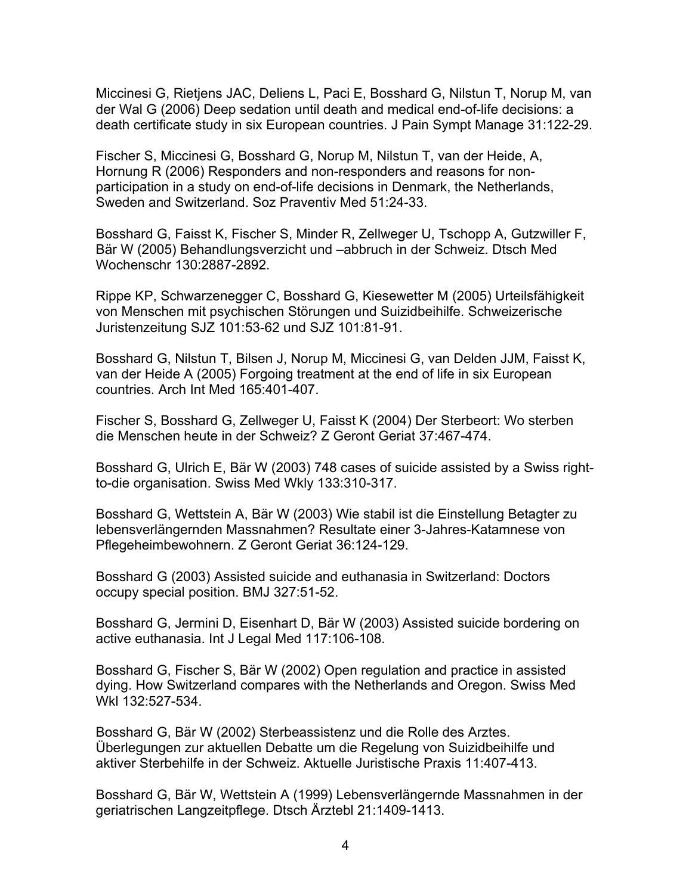Miccinesi G, Rietjens JAC, Deliens L, Paci E, Bosshard G, Nilstun T, Norup M, van der Wal G (2006) Deep sedation until death and medical end-of-life decisions: a death certificate study in six European countries. J Pain Sympt Manage 31:122-29.

Fischer S, Miccinesi G, Bosshard G, Norup M, Nilstun T, van der Heide, A, Hornung R (2006) Responders and non-responders and reasons for nonparticipation in a study on end-of-life decisions in Denmark, the Netherlands, Sweden and Switzerland. Soz Praventiv Med 51:24-33.

Bosshard G, Faisst K, Fischer S, Minder R, Zellweger U, Tschopp A, Gutzwiller F, Bär W (2005) Behandlungsverzicht und –abbruch in der Schweiz. Dtsch Med Wochenschr 130:2887-2892.

Rippe KP, Schwarzenegger C, Bosshard G, Kiesewetter M (2005) Urteilsfähigkeit von Menschen mit psychischen Störungen und Suizidbeihilfe. Schweizerische Juristenzeitung SJZ 101:53-62 und SJZ 101:81-91.

Bosshard G, Nilstun T, Bilsen J, Norup M, Miccinesi G, van Delden JJM, Faisst K, van der Heide A (2005) Forgoing treatment at the end of life in six European countries. Arch Int Med 165:401-407.

Fischer S, Bosshard G, Zellweger U, Faisst K (2004) Der Sterbeort: Wo sterben die Menschen heute in der Schweiz? Z Geront Geriat 37:467-474.

Bosshard G, Ulrich E, Bär W (2003) 748 cases of suicide assisted by a Swiss rightto-die organisation. Swiss Med Wkly 133:310-317.

Bosshard G, Wettstein A, Bär W (2003) Wie stabil ist die Einstellung Betagter zu lebensverlängernden Massnahmen? Resultate einer 3-Jahres-Katamnese von Pflegeheimbewohnern. Z Geront Geriat 36:124-129.

Bosshard G (2003) Assisted suicide and euthanasia in Switzerland: Doctors occupy special position. BMJ 327:51-52.

Bosshard G, Jermini D, Eisenhart D, Bär W (2003) Assisted suicide bordering on active euthanasia. Int J Legal Med 117:106-108.

Bosshard G, Fischer S, Bär W (2002) Open regulation and practice in assisted dying. How Switzerland compares with the Netherlands and Oregon. Swiss Med Wkl 132:527-534.

Bosshard G, Bär W (2002) Sterbeassistenz und die Rolle des Arztes. Überlegungen zur aktuellen Debatte um die Regelung von Suizidbeihilfe und aktiver Sterbehilfe in der Schweiz. Aktuelle Juristische Praxis 11:407-413.

Bosshard G, Bär W, Wettstein A (1999) Lebensverlängernde Massnahmen in der geriatrischen Langzeitpflege. Dtsch Ärztebl 21:1409-1413.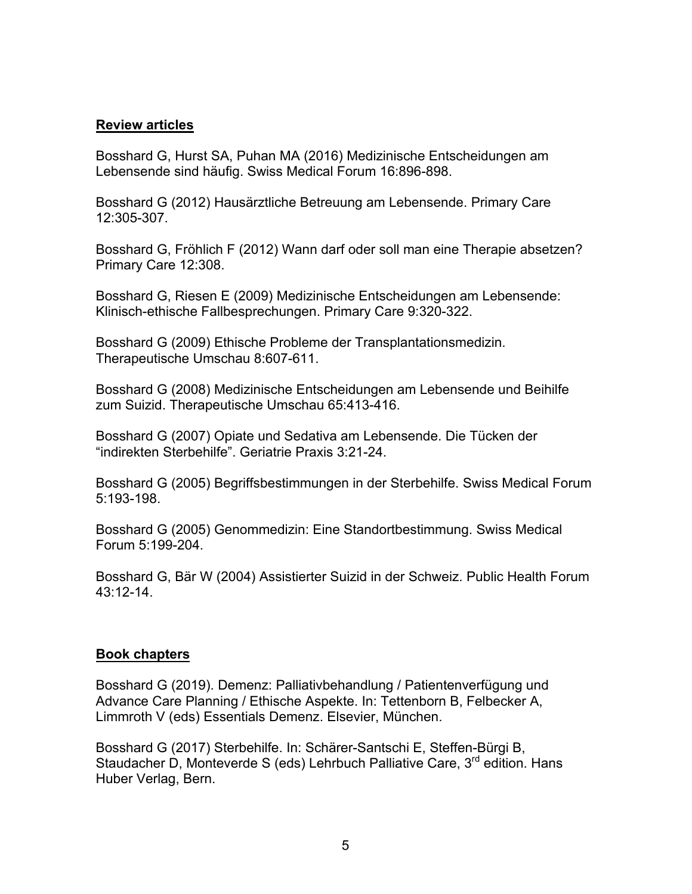### **Review articles**

Bosshard G, Hurst SA, Puhan MA (2016) Medizinische Entscheidungen am Lebensende sind häufig. Swiss Medical Forum 16:896-898.

Bosshard G (2012) Hausärztliche Betreuung am Lebensende. Primary Care 12:305-307.

Bosshard G, Fröhlich F (2012) Wann darf oder soll man eine Therapie absetzen? Primary Care 12:308.

Bosshard G, Riesen E (2009) Medizinische Entscheidungen am Lebensende: Klinisch-ethische Fallbesprechungen. Primary Care 9:320-322.

Bosshard G (2009) Ethische Probleme der Transplantationsmedizin. Therapeutische Umschau 8:607-611.

Bosshard G (2008) Medizinische Entscheidungen am Lebensende und Beihilfe zum Suizid. Therapeutische Umschau 65:413-416.

Bosshard G (2007) Opiate und Sedativa am Lebensende. Die Tücken der "indirekten Sterbehilfe". Geriatrie Praxis 3:21-24.

Bosshard G (2005) Begriffsbestimmungen in der Sterbehilfe. Swiss Medical Forum 5:193-198.

Bosshard G (2005) Genommedizin: Eine Standortbestimmung. Swiss Medical Forum 5:199-204.

Bosshard G, Bär W (2004) Assistierter Suizid in der Schweiz. Public Health Forum 43:12-14.

## **Book chapters**

Bosshard G (2019). Demenz: Palliativbehandlung / Patientenverfügung und Advance Care Planning / Ethische Aspekte. In: Tettenborn B, Felbecker A, Limmroth V (eds) Essentials Demenz. Elsevier, München.

Bosshard G (2017) Sterbehilfe. In: Schärer-Santschi E, Steffen-Bürgi B, Staudacher D, Monteverde S (eds) Lehrbuch Palliative Care, 3<sup>rd</sup> edition. Hans Huber Verlag, Bern.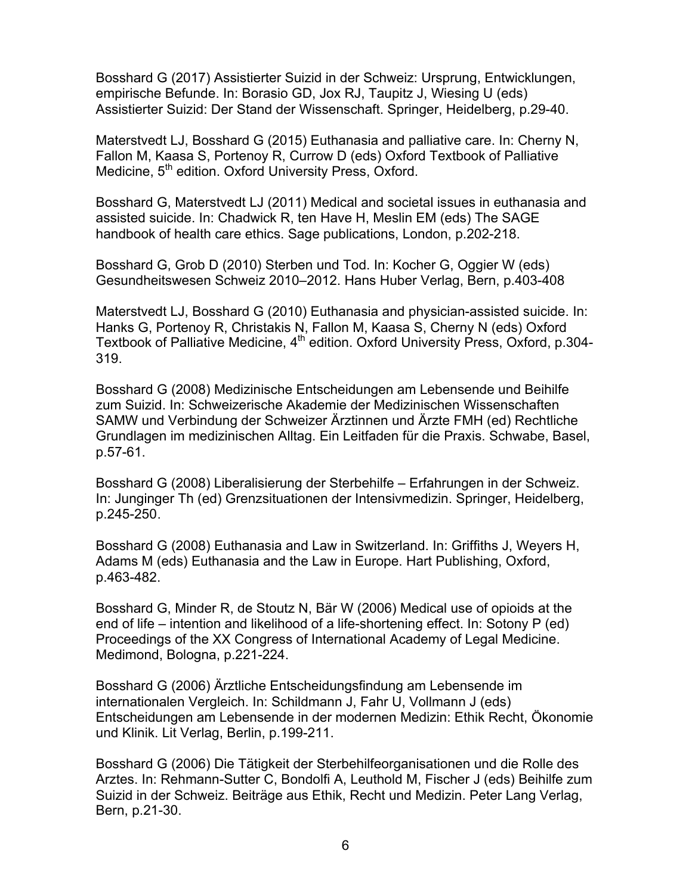Bosshard G (2017) Assistierter Suizid in der Schweiz: Ursprung, Entwicklungen, empirische Befunde. In: Borasio GD, Jox RJ, Taupitz J, Wiesing U (eds) Assistierter Suizid: Der Stand der Wissenschaft. Springer, Heidelberg, p.29-40.

Materstvedt LJ, Bosshard G (2015) Euthanasia and palliative care. In: Cherny N, Fallon M, Kaasa S, Portenoy R, Currow D (eds) Oxford Textbook of Palliative Medicine, 5<sup>th</sup> edition. Oxford University Press, Oxford.

Bosshard G, Materstvedt LJ (2011) Medical and societal issues in euthanasia and assisted suicide. In: Chadwick R, ten Have H, Meslin EM (eds) The SAGE handbook of health care ethics. Sage publications, London, p.202-218.

Bosshard G, Grob D (2010) Sterben und Tod. In: Kocher G, Oggier W (eds) Gesundheitswesen Schweiz 2010–2012. Hans Huber Verlag, Bern, p.403-408

Materstvedt LJ, Bosshard G (2010) Euthanasia and physician-assisted suicide. In: Hanks G, Portenoy R, Christakis N, Fallon M, Kaasa S, Cherny N (eds) Oxford Textbook of Palliative Medicine, 4<sup>th</sup> edition. Oxford University Press, Oxford, p.304-319.

Bosshard G (2008) Medizinische Entscheidungen am Lebensende und Beihilfe zum Suizid. In: Schweizerische Akademie der Medizinischen Wissenschaften SAMW und Verbindung der Schweizer Ärztinnen und Ärzte FMH (ed) Rechtliche Grundlagen im medizinischen Alltag. Ein Leitfaden für die Praxis. Schwabe, Basel, p.57-61.

Bosshard G (2008) Liberalisierung der Sterbehilfe – Erfahrungen in der Schweiz. In: Junginger Th (ed) Grenzsituationen der Intensivmedizin. Springer, Heidelberg, p.245-250.

Bosshard G (2008) Euthanasia and Law in Switzerland. In: Griffiths J, Weyers H, Adams M (eds) Euthanasia and the Law in Europe. Hart Publishing, Oxford, p.463-482.

Bosshard G, Minder R, de Stoutz N, Bär W (2006) Medical use of opioids at the end of life – intention and likelihood of a life-shortening effect. In: Sotony P (ed) Proceedings of the XX Congress of International Academy of Legal Medicine. Medimond, Bologna, p.221-224.

Bosshard G (2006) Ärztliche Entscheidungsfindung am Lebensende im internationalen Vergleich. In: Schildmann J, Fahr U, Vollmann J (eds) Entscheidungen am Lebensende in der modernen Medizin: Ethik Recht, Ökonomie und Klinik. Lit Verlag, Berlin, p.199-211.

Bosshard G (2006) Die Tätigkeit der Sterbehilfeorganisationen und die Rolle des Arztes. In: Rehmann-Sutter C, Bondolfi A, Leuthold M, Fischer J (eds) Beihilfe zum Suizid in der Schweiz. Beiträge aus Ethik, Recht und Medizin. Peter Lang Verlag, Bern, p.21-30.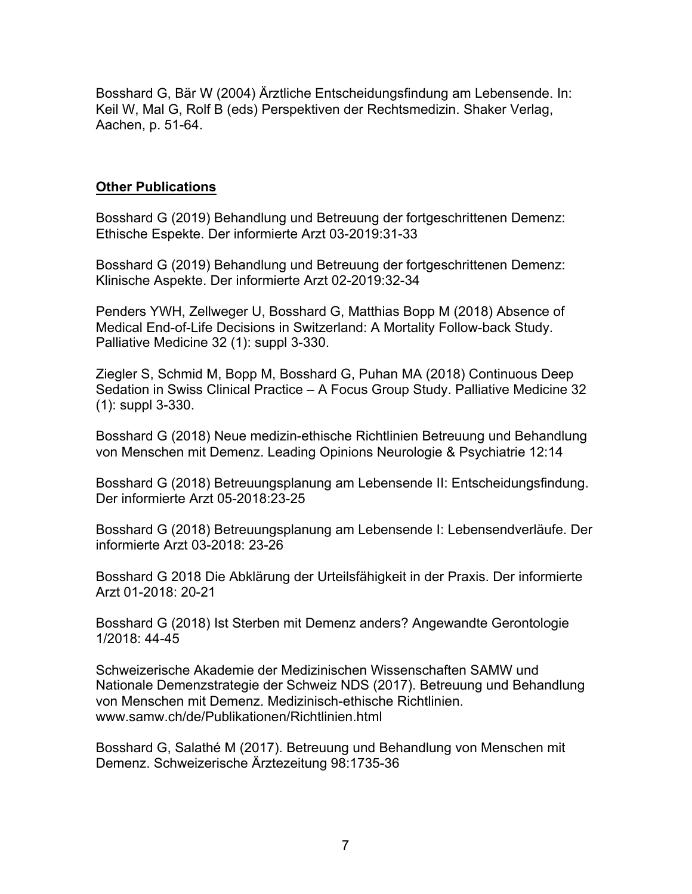Bosshard G, Bär W (2004) Ärztliche Entscheidungsfindung am Lebensende. In: Keil W, Mal G, Rolf B (eds) Perspektiven der Rechtsmedizin. Shaker Verlag, Aachen, p. 51-64.

#### **Other Publications**

Bosshard G (2019) Behandlung und Betreuung der fortgeschrittenen Demenz: Ethische Espekte. Der informierte Arzt 03-2019:31-33

Bosshard G (2019) Behandlung und Betreuung der fortgeschrittenen Demenz: Klinische Aspekte. Der informierte Arzt 02-2019:32-34

Penders YWH, Zellweger U, Bosshard G, Matthias Bopp M (2018) Absence of Medical End-of-Life Decisions in Switzerland: A Mortality Follow-back Study. Palliative Medicine 32 (1): suppl 3-330.

Ziegler S, Schmid M, Bopp M, Bosshard G, Puhan MA (2018) Continuous Deep Sedation in Swiss Clinical Practice – A Focus Group Study. Palliative Medicine 32 (1): suppl 3-330.

Bosshard G (2018) Neue medizin-ethische Richtlinien Betreuung und Behandlung von Menschen mit Demenz. Leading Opinions Neurologie & Psychiatrie 12:14

Bosshard G (2018) Betreuungsplanung am Lebensende II: Entscheidungsfindung. Der informierte Arzt 05-2018:23-25

Bosshard G (2018) Betreuungsplanung am Lebensende I: Lebensendverläufe. Der informierte Arzt 03-2018: 23-26

Bosshard G 2018 Die Abklärung der Urteilsfähigkeit in der Praxis. Der informierte Arzt 01-2018: 20-21

Bosshard G (2018) Ist Sterben mit Demenz anders? Angewandte Gerontologie 1/2018: 44-45

Schweizerische Akademie der Medizinischen Wissenschaften SAMW und Nationale Demenzstrategie der Schweiz NDS (2017). Betreuung und Behandlung von Menschen mit Demenz. Medizinisch-ethische Richtlinien. www.samw.ch/de/Publikationen/Richtlinien.html

Bosshard G, Salathé M (2017). Betreuung und Behandlung von Menschen mit Demenz. Schweizerische Ärztezeitung 98:1735-36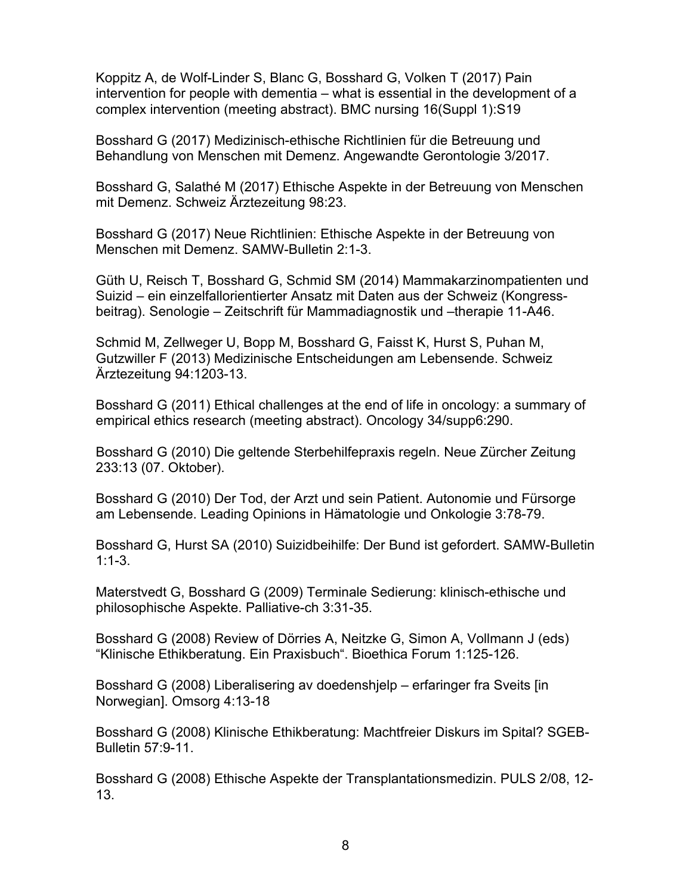Koppitz A, de Wolf-Linder S, Blanc G, Bosshard G, Volken T (2017) Pain intervention for people with dementia – what is essential in the development of a complex intervention (meeting abstract). BMC nursing 16(Suppl 1):S19

Bosshard G (2017) Medizinisch-ethische Richtlinien für die Betreuung und Behandlung von Menschen mit Demenz. Angewandte Gerontologie 3/2017.

Bosshard G, Salathé M (2017) Ethische Aspekte in der Betreuung von Menschen mit Demenz. Schweiz Ärztezeitung 98:23.

Bosshard G (2017) Neue Richtlinien: Ethische Aspekte in der Betreuung von Menschen mit Demenz. SAMW-Bulletin 2:1-3.

Güth U, Reisch T, Bosshard G, Schmid SM (2014) Mammakarzinompatienten und Suizid – ein einzelfallorientierter Ansatz mit Daten aus der Schweiz (Kongressbeitrag). Senologie – Zeitschrift für Mammadiagnostik und –therapie 11-A46.

Schmid M, Zellweger U, Bopp M, Bosshard G, Faisst K, Hurst S, Puhan M, Gutzwiller F (2013) Medizinische Entscheidungen am Lebensende. Schweiz Ärztezeitung 94:1203-13.

Bosshard G (2011) Ethical challenges at the end of life in oncology: a summary of empirical ethics research (meeting abstract). Oncology 34/supp6:290.

Bosshard G (2010) Die geltende Sterbehilfepraxis regeln. Neue Zürcher Zeitung 233:13 (07. Oktober).

Bosshard G (2010) Der Tod, der Arzt und sein Patient. Autonomie und Fürsorge am Lebensende. Leading Opinions in Hämatologie und Onkologie 3:78-79.

Bosshard G, Hurst SA (2010) Suizidbeihilfe: Der Bund ist gefordert. SAMW-Bulletin 1:1-3.

Materstvedt G, Bosshard G (2009) Terminale Sedierung: klinisch-ethische und philosophische Aspekte. Palliative-ch 3:31-35.

Bosshard G (2008) Review of Dörries A, Neitzke G, Simon A, Vollmann J (eds) "Klinische Ethikberatung. Ein Praxisbuch". Bioethica Forum 1:125-126.

Bosshard G (2008) Liberalisering av doedenshjelp – erfaringer fra Sveits [in Norwegian]. Omsorg 4:13-18

Bosshard G (2008) Klinische Ethikberatung: Machtfreier Diskurs im Spital? SGEB-Bulletin 57:9-11.

Bosshard G (2008) Ethische Aspekte der Transplantationsmedizin. PULS 2/08, 12- 13.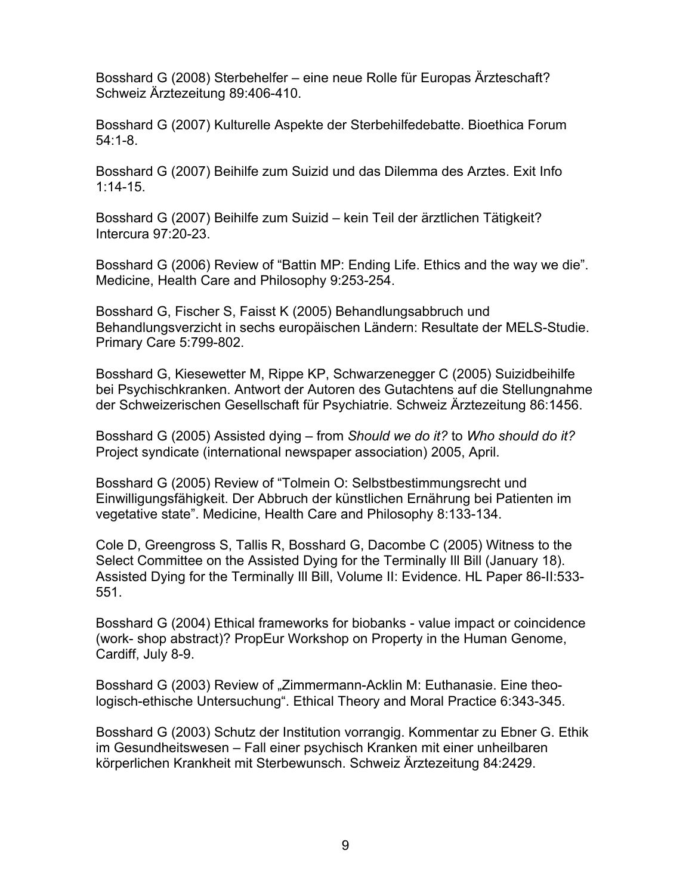Bosshard G (2008) Sterbehelfer – eine neue Rolle für Europas Ärzteschaft? Schweiz Ärztezeitung 89:406-410.

Bosshard G (2007) Kulturelle Aspekte der Sterbehilfedebatte. Bioethica Forum 54:1-8.

Bosshard G (2007) Beihilfe zum Suizid und das Dilemma des Arztes. Exit Info 1:14-15.

Bosshard G (2007) Beihilfe zum Suizid – kein Teil der ärztlichen Tätigkeit? Intercura 97:20-23.

Bosshard G (2006) Review of "Battin MP: Ending Life. Ethics and the way we die". Medicine, Health Care and Philosophy 9:253-254.

Bosshard G, Fischer S, Faisst K (2005) Behandlungsabbruch und Behandlungsverzicht in sechs europäischen Ländern: Resultate der MELS-Studie. Primary Care 5:799-802.

Bosshard G, Kiesewetter M, Rippe KP, Schwarzenegger C (2005) Suizidbeihilfe bei Psychischkranken. Antwort der Autoren des Gutachtens auf die Stellungnahme der Schweizerischen Gesellschaft für Psychiatrie. Schweiz Ärztezeitung 86:1456.

Bosshard G (2005) Assisted dying – from *Should we do it?* to *Who should do it?* Project syndicate (international newspaper association) 2005, April.

Bosshard G (2005) Review of "Tolmein O: Selbstbestimmungsrecht und Einwilligungsfähigkeit. Der Abbruch der künstlichen Ernährung bei Patienten im vegetative state". Medicine, Health Care and Philosophy 8:133-134.

Cole D, Greengross S, Tallis R, Bosshard G, Dacombe C (2005) Witness to the Select Committee on the Assisted Dying for the Terminally Ill Bill (January 18). Assisted Dying for the Terminally Ill Bill, Volume II: Evidence. HL Paper 86-II:533- 551.

Bosshard G (2004) Ethical frameworks for biobanks - value impact or coincidence (work- shop abstract)? PropEur Workshop on Property in the Human Genome, Cardiff, July 8-9.

Bosshard G (2003) Review of "Zimmermann-Acklin M: Euthanasie. Eine theologisch-ethische Untersuchung". Ethical Theory and Moral Practice 6:343-345.

Bosshard G (2003) Schutz der Institution vorrangig. Kommentar zu Ebner G. Ethik im Gesundheitswesen – Fall einer psychisch Kranken mit einer unheilbaren körperlichen Krankheit mit Sterbewunsch. Schweiz Ärztezeitung 84:2429.